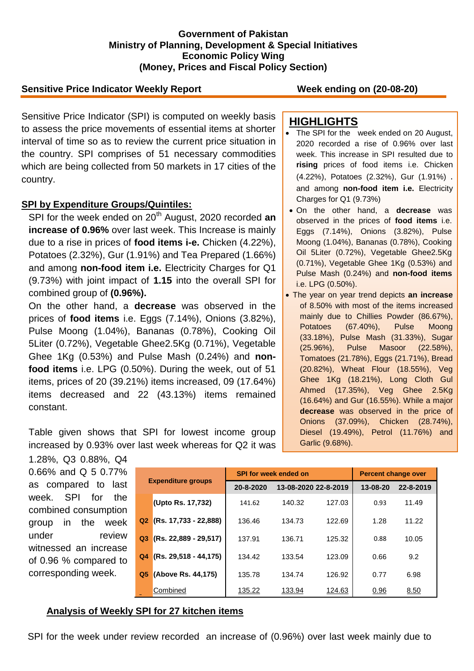### **Government of Pakistan Ministry of Planning, Development & Special Initiatives Economic Policy Wing (Money, Prices and Fiscal Policy Section)**

## **Sensitive Price Indicator Weekly Report Week ending on (20-08-20)**

Sensitive Price Indicator (SPI) is computed on weekly basis to assess the price movements of essential items at shorter interval of time so as to review the current price situation in the country. SPI comprises of 51 necessary commodities which are being collected from 50 markets in 17 cities of the country.

### **SPI by Expenditure Groups/Quintiles:**

SPI for the week ended on 20<sup>th</sup> August, 2020 recorded an **increase of 0.96%** over last week. This Increase is mainly due to a rise in prices of **food items i-e.** Chicken (4.22%), Potatoes (2.32%), Gur (1.91%) and Tea Prepared (1.66%) and among **non-food item i.e.** Electricity Charges for Q1 (9.73%) with joint impact of **1.15** into the overall SPI for combined group of **(0.96%).**

On the other hand, a **decrease** was observed in the prices of **food items** i.e. Eggs (7.14%), Onions (3.82%), Pulse Moong (1.04%), Bananas (0.78%), Cooking Oil 5Liter (0.72%), Vegetable Ghee2.5Kg (0.71%), Vegetable Ghee 1Kg (0.53%) and Pulse Mash (0.24%) and **nonfood items** i.e. LPG (0.50%). During the week, out of 51 items, prices of 20 (39.21%) items increased, 09 (17.64%) items decreased and 22 (43.13%) items remained constant.

Table given shows that SPI for lowest income group increased by 0.93% over last week whereas for Q2 it was

# **HIGHLIGHTS**

- The SPI for the week ended on 20 August, 2020 recorded a rise of 0.96% over last week. This increase in SPI resulted due to **rising** prices of food items i.e. Chicken (4.22%), Potatoes (2.32%), Gur (1.91%) . and among **non-food item i.e.** Electricity Charges for Q1 (9.73%)
- On the other hand, a **decrease** was observed in the prices of **food items** i.e. Eggs (7.14%), Onions (3.82%), Pulse Moong (1.04%), Bananas (0.78%), Cooking Oil 5Liter (0.72%), Vegetable Ghee2.5Kg (0.71%), Vegetable Ghee 1Kg (0.53%) and Pulse Mash (0.24%) and **non-food items** i.e. LPG (0.50%).
- The year on year trend depicts **an increase** of 8.50% with most of the items increased mainly due to Chillies Powder (86.67%), Potatoes (67.40%), Pulse Moong (33.18%), Pulse Mash (31.33%), Sugar (25.96%), Pulse Masoor (22.58%), Tomatoes (21.78%), Eggs (21.71%), Bread (20.82%), Wheat Flour (18.55%), Veg Ghee 1Kg (18.21%), Long Cloth Gul Ahmed (17.35%), Veg Ghee 2.5Kg (16.64%) and Gur (16.55%). While a major **decrease** was observed in the price of Onions (37.09%), Chicken (28.74%), Diesel (19.49%), Petrol (11.76%) and Garlic (9.68%).

1.28%, Q3 0.88%, Q4 0.66% and Q 5 0.77% as compared to last week. SPI for the combined consumption group in the week under review witnessed an increase of 0.96 % compared to corresponding week.

| <b>Expenditure groups</b> |                         |           | <b>SPI for week ended on</b> | <b>Percent change over</b> |          |           |
|---------------------------|-------------------------|-----------|------------------------------|----------------------------|----------|-----------|
|                           |                         | 20-8-2020 | 13-08-2020 22-8-2019         |                            | 13-08-20 | 22-8-2019 |
|                           | (Upto Rs. 17,732)       | 141.62    | 140.32                       | 127.03                     | 0.93     | 11.49     |
| Q2                        | $(Rs. 17,733 - 22,888)$ | 136.46    | 134.73                       | 122.69                     | 1.28     | 11.22     |
| Q <sub>3</sub>            | $(Rs. 22,889 - 29,517)$ | 137.91    | 136.71                       | 125.32                     | 0.88     | 10.05     |
| Q4                        | $(Rs. 29.518 - 44.175)$ | 134.42    | 133.54                       | 123.09                     | 0.66     | 9.2       |
| Q <sub>5</sub>            | (Above Rs. 44,175)      | 135.78    | 134.74                       | 126.92                     | 0.77     | 6.98      |
|                           | Combined                | 135.22    | 133.94                       | 124.63                     | 0.96     | 8.50      |

#### **Analysis of Weekly SPI for 27 kitchen items**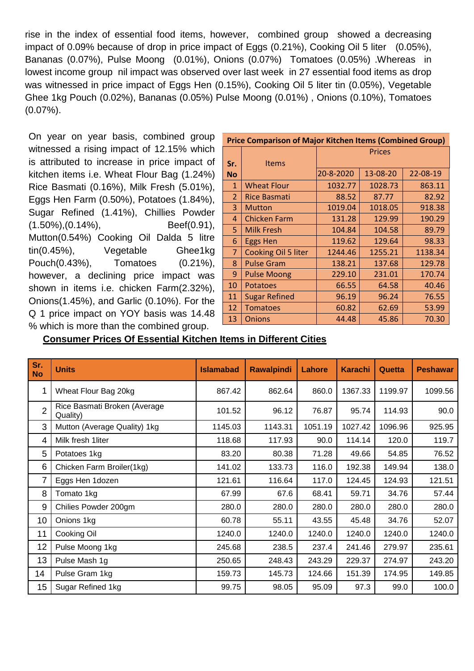rise in the index of essential food items, however, combined group showed a decreasing impact of 0.09% because of drop in price impact of Eggs (0.21%), Cooking Oil 5 liter (0.05%), Bananas (0.07%), Pulse Moong (0.01%), Onions (0.07%) Tomatoes (0.05%) .Whereas in lowest income group nil impact was observed over last week in 27 essential food items as drop was witnessed in price impact of Eggs Hen (0.15%), Cooking Oil 5 liter tin (0.05%), Vegetable Ghee 1kg Pouch (0.02%), Bananas (0.05%) Pulse Moong (0.01%) , Onions (0.10%), Tomatoes (0.07%).

On year on year basis, combined group witnessed a rising impact of 12.15% which is attributed to increase in price impact of kitchen items i.e. Wheat Flour Bag (1.24%) Rice Basmati (0.16%), Milk Fresh (5.01%), Eggs Hen Farm (0.50%), Potatoes (1.84%), Sugar Refined (1.41%), Chillies Powder (1.50%),(0.14%), Beef(0.91), Mutton(0.54%) Cooking Oil Dalda 5 litre tin(0.45%), Vegetable Ghee1kg Pouch(0.43%), Tomatoes (0.21%), however, a declining price impact was shown in items i.e. chicken Farm(2.32%), Onions(1.45%), and Garlic (0.10%). For the Q 1 price impact on YOY basis was 14.48 % which is more than the combined group.

| <b>Price Comparison of Major Kitchen Items (Combined Group)</b> |                      |               |          |          |  |  |  |
|-----------------------------------------------------------------|----------------------|---------------|----------|----------|--|--|--|
|                                                                 |                      | <b>Prices</b> |          |          |  |  |  |
| Sr.                                                             | <b>Items</b>         |               |          |          |  |  |  |
| <b>No</b>                                                       |                      | 20-8-2020     | 13-08-20 | 22-08-19 |  |  |  |
| $\mathbf{1}$                                                    | <b>Wheat Flour</b>   | 1032.77       | 1028.73  | 863.11   |  |  |  |
| $\overline{2}$                                                  | <b>Rice Basmati</b>  | 88.52         | 87.77    | 82.92    |  |  |  |
| 3                                                               | <b>Mutton</b>        | 1019.04       | 1018.05  | 918.38   |  |  |  |
| 4                                                               | Chicken Farm         | 131.28        | 129.99   | 190.29   |  |  |  |
| 5.                                                              | <b>Milk Fresh</b>    | 104.84        | 104.58   | 89.79    |  |  |  |
| 6                                                               | <b>Eggs Hen</b>      | 119.62        | 129.64   | 98.33    |  |  |  |
| 7                                                               | Cooking Oil 5 liter  | 1244.46       | 1255.21  | 1138.34  |  |  |  |
| 8                                                               | <b>Pulse Gram</b>    | 138.21        | 137.68   | 129.78   |  |  |  |
| 9                                                               | <b>Pulse Moong</b>   | 229.10        | 231.01   | 170.74   |  |  |  |
| 10                                                              | <b>Potatoes</b>      | 66.55         | 64.58    | 40.46    |  |  |  |
| 11                                                              | <b>Sugar Refined</b> | 96.19         | 96.24    | 76.55    |  |  |  |
| 12                                                              | <b>Tomatoes</b>      | 60.82         | 62.69    | 53.99    |  |  |  |
| 13                                                              | <b>Onions</b>        | 44.48         | 45.86    | 70.30    |  |  |  |

**Consumer Prices Of Essential Kitchen Items in Different Cities**

| Sr.<br><b>No</b> | <b>Units</b>                             | <b>Islamabad</b> | <b>Rawalpindi</b> | Lahore  | <b>Karachi</b> | Quetta  | <b>Peshawar</b> |
|------------------|------------------------------------------|------------------|-------------------|---------|----------------|---------|-----------------|
|                  | Wheat Flour Bag 20kg                     | 867.42           | 862.64            | 860.0   | 1367.33        | 1199.97 | 1099.56         |
| $\overline{2}$   | Rice Basmati Broken (Average<br>Quality) | 101.52           | 96.12             | 76.87   | 95.74          | 114.93  | 90.0            |
| 3                | Mutton (Average Quality) 1kg             | 1145.03          | 1143.31           | 1051.19 | 1027.42        | 1096.96 | 925.95          |
| 4                | Milk fresh 1liter                        | 118.68           | 117.93            | 90.0    | 114.14         | 120.0   | 119.7           |
| 5                | Potatoes 1kg                             | 83.20            | 80.38             | 71.28   | 49.66          | 54.85   | 76.52           |
| 6                | Chicken Farm Broiler(1kg)                | 141.02           | 133.73            | 116.0   | 192.38         | 149.94  | 138.0           |
| 7                | Eggs Hen 1dozen                          | 121.61           | 116.64            | 117.0   | 124.45         | 124.93  | 121.51          |
| 8                | Tomato 1kg                               | 67.99            | 67.6              | 68.41   | 59.71          | 34.76   | 57.44           |
| 9                | Chilies Powder 200gm                     | 280.0            | 280.0             | 280.0   | 280.0          | 280.0   | 280.0           |
| 10               | Onions 1kg                               | 60.78            | 55.11             | 43.55   | 45.48          | 34.76   | 52.07           |
| 11               | Cooking Oil                              | 1240.0           | 1240.0            | 1240.0  | 1240.0         | 1240.0  | 1240.0          |
| 12               | Pulse Moong 1kg                          | 245.68           | 238.5             | 237.4   | 241.46         | 279.97  | 235.61          |
| 13               | Pulse Mash 1g                            | 250.65           | 248.43            | 243.29  | 229.37         | 274.97  | 243.20          |
| 14               | Pulse Gram 1kg                           | 159.73           | 145.73            | 124.66  | 151.39         | 174.95  | 149.85          |
| 15               | Sugar Refined 1kg                        | 99.75            | 98.05             | 95.09   | 97.3           | 99.0    | 100.0           |